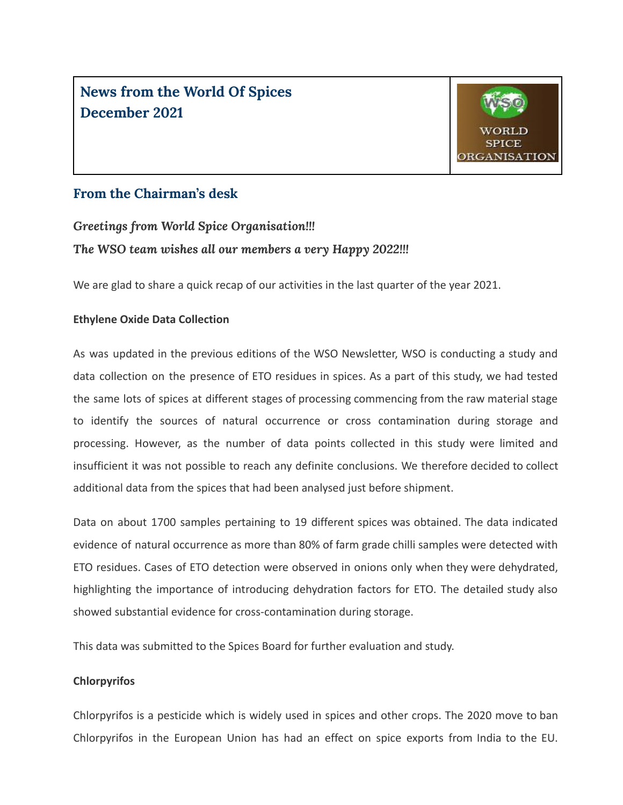**News from the World Of Spices December 2021**



#### **From the Chairman's desk**

*Greetings from World Spice Organisation!!!*

#### *The WSO team wishes all our members a very Happy 2022!!!*

We are glad to share a quick recap of our activities in the last quarter of the year 2021.

#### **Ethylene Oxide Data Collection**

As was updated in the previous editions of the WSO Newsletter, WSO is conducting a study and data collection on the presence of ETO residues in spices. As a part of this study, we had tested the same lots of spices at different stages of processing commencing from the raw material stage to identify the sources of natural occurrence or cross contamination during storage and processing. However, as the number of data points collected in this study were limited and insufficient it was not possible to reach any definite conclusions. We therefore decided to collect additional data from the spices that had been analysed just before shipment.

Data on about 1700 samples pertaining to 19 different spices was obtained. The data indicated evidence of natural occurrence as more than 80% of farm grade chilli samples were detected with ETO residues. Cases of ETO detection were observed in onions only when they were dehydrated, highlighting the importance of introducing dehydration factors for ETO. The detailed study also showed substantial evidence for cross-contamination during storage.

This data was submitted to the Spices Board for further evaluation and study.

#### **Chlorpyrifos**

Chlorpyrifos is a pesticide which is widely used in spices and other crops. The 2020 move to ban Chlorpyrifos in the European Union has had an effect on spice exports from India to the EU.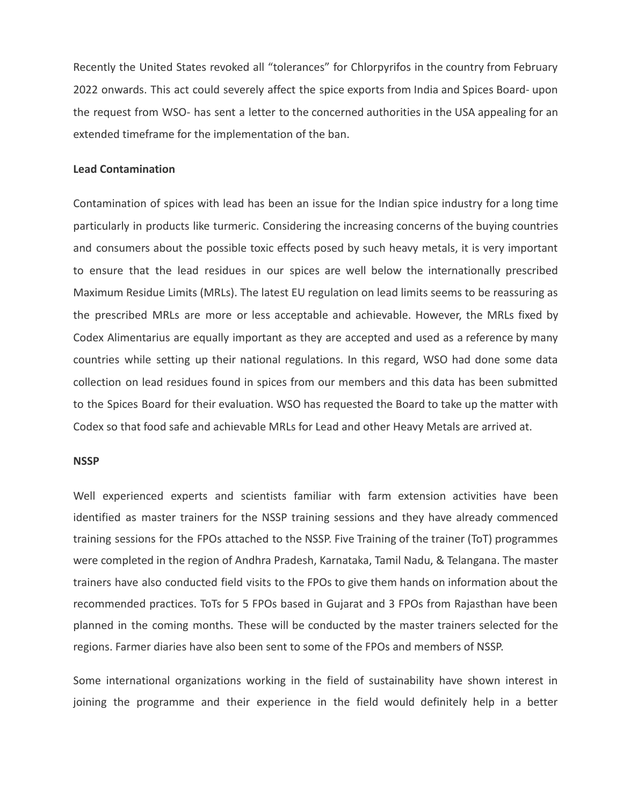Recently the United States revoked all "tolerances" for Chlorpyrifos in the country from February 2022 onwards. This act could severely affect the spice exports from India and Spices Board- upon the request from WSO- has sent a letter to the concerned authorities in the USA appealing for an extended timeframe for the implementation of the ban.

#### **Lead Contamination**

Contamination of spices with lead has been an issue for the Indian spice industry for a long time particularly in products like turmeric. Considering the increasing concerns of the buying countries and consumers about the possible toxic effects posed by such heavy metals, it is very important to ensure that the lead residues in our spices are well below the internationally prescribed Maximum Residue Limits (MRLs). The latest EU regulation on lead limits seems to be reassuring as the prescribed MRLs are more or less acceptable and achievable. However, the MRLs fixed by Codex Alimentarius are equally important as they are accepted and used as a reference by many countries while setting up their national regulations. In this regard, WSO had done some data collection on lead residues found in spices from our members and this data has been submitted to the Spices Board for their evaluation. WSO has requested the Board to take up the matter with Codex so that food safe and achievable MRLs for Lead and other Heavy Metals are arrived at.

#### **NSSP**

Well experienced experts and scientists familiar with farm extension activities have been identified as master trainers for the NSSP training sessions and they have already commenced training sessions for the FPOs attached to the NSSP. Five Training of the trainer (ToT) programmes were completed in the region of Andhra Pradesh, Karnataka, Tamil Nadu, & Telangana. The master trainers have also conducted field visits to the FPOs to give them hands on information about the recommended practices. ToTs for 5 FPOs based in Gujarat and 3 FPOs from Rajasthan have been planned in the coming months. These will be conducted by the master trainers selected for the regions. Farmer diaries have also been sent to some of the FPOs and members of NSSP.

Some international organizations working in the field of sustainability have shown interest in joining the programme and their experience in the field would definitely help in a better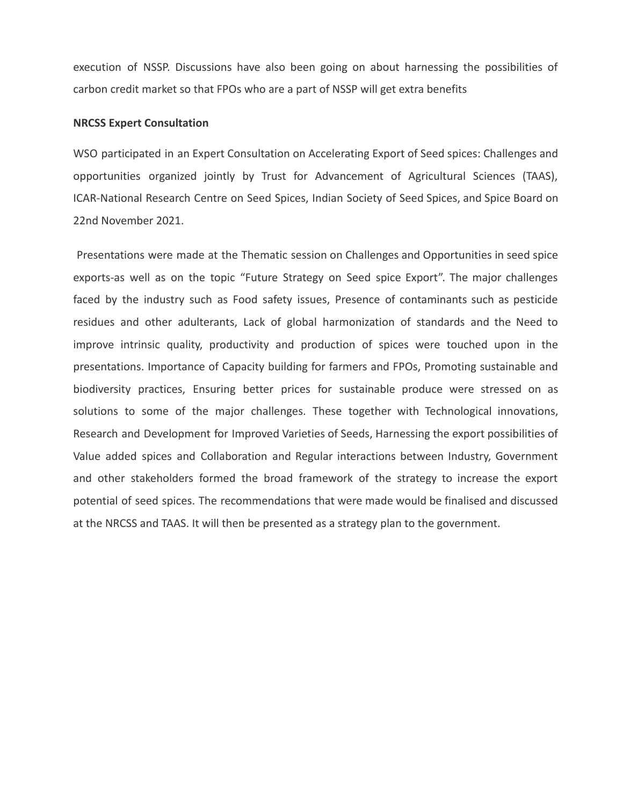execution of NSSP. Discussions have also been going on about harnessing the possibilities of carbon credit market so that FPOs who are a part of NSSP will get extra benefits

#### **NRCSS Expert Consultation**

WSO participated in an Expert Consultation on Accelerating Export of Seed spices: Challenges and opportunities organized jointly by Trust for Advancement of Agricultural Sciences (TAAS), ICAR-National Research Centre on Seed Spices, Indian Society of Seed Spices, and Spice Board on 22nd November 2021.

Presentations were made at the Thematic session on Challenges and Opportunities in seed spice exports-as well as on the topic "Future Strategy on Seed spice Export". The major challenges faced by the industry such as Food safety issues, Presence of contaminants such as pesticide residues and other adulterants, Lack of global harmonization of standards and the Need to improve intrinsic quality, productivity and production of spices were touched upon in the presentations. Importance of Capacity building for farmers and FPOs, Promoting sustainable and biodiversity practices, Ensuring better prices for sustainable produce were stressed on as solutions to some of the major challenges. These together with Technological innovations, Research and Development for Improved Varieties of Seeds, Harnessing the export possibilities of Value added spices and Collaboration and Regular interactions between Industry, Government and other stakeholders formed the broad framework of the strategy to increase the export potential of seed spices. The recommendations that were made would be finalised and discussed at the NRCSS and TAAS. It will then be presented as a strategy plan to the government.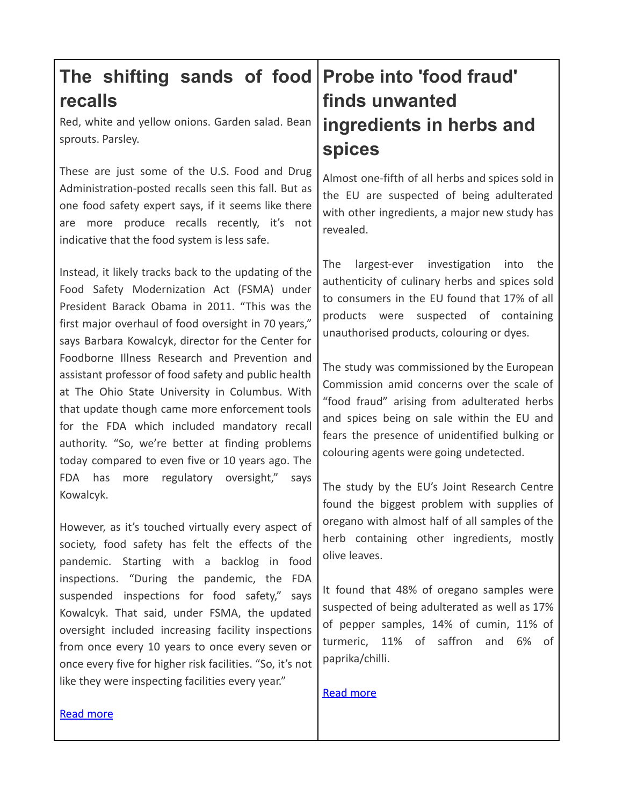## **The shifting sands of food Probe into 'food fraud' recalls**

Red, white and yellow onions. Garden salad. Bean sprouts. Parsley.

These are just some of the U.S. Food and Drug Administration-posted recalls seen this fall. But as one food safety expert says, if it seems like there are more produce recalls recently, it's not indicative that the food system is less safe.

Instead, it likely tracks back to the updating of the Food Safety Modernization Act (FSMA) under President Barack Obama in 2011. "This was the first major overhaul of food oversight in 70 years," says Barbara Kowalcyk, director for the Center for Foodborne Illness Research and Prevention and assistant professor of food safety and public health at The Ohio State University in Columbus. With that update though came more enforcement tools for the FDA which included mandatory recall authority. "So, we're better at finding problems today compared to even five or 10 years ago. The FDA has more regulatory oversight," says Kowalcyk.

However, as it's touched virtually every aspect of society, food safety has felt the effects of the pandemic. Starting with a backlog in food inspections. "During the pandemic, the FDA suspended inspections for food safety," says Kowalcyk. That said, under FSMA, the updated oversight included increasing facility inspections from once every 10 years to once every seven or once every five for higher risk facilities. "So, it's not like they were inspecting facilities every year."

## **finds unwanted ingredients in herbs and spices**

Almost one-fifth of all herbs and spices sold in the EU are suspected of being adulterated with other ingredients, a major new study has revealed.

The largest-ever investigation into the authenticity of culinary herbs and spices sold to consumers in the EU found that 17% of all products were suspected of containing unauthorised products, colouring or dyes.

The study was commissioned by the European Commission amid concerns over the scale of "food fraud" arising from adulterated herbs and spices being on sale within the EU and fears the presence of unidentified bulking or colouring agents were going undetected.

The study by the EU's Joint Research Centre found the biggest problem with supplies of oregano with almost half of all samples of the herb containing other ingredients, mostly olive leaves.

It found that 48% of oregano samples were suspected of being adulterated as well as 17% of pepper samples, 14% of cumin, 11% of turmeric, 11% of saffron and 6% of paprika/chilli.

#### [Read more](https://www.irishexaminer.com/news/arid-40754490.html)

#### [Read more](https://www.foodsafetynews.com/2021/11/the-shifting-sands-of-food-recalls/)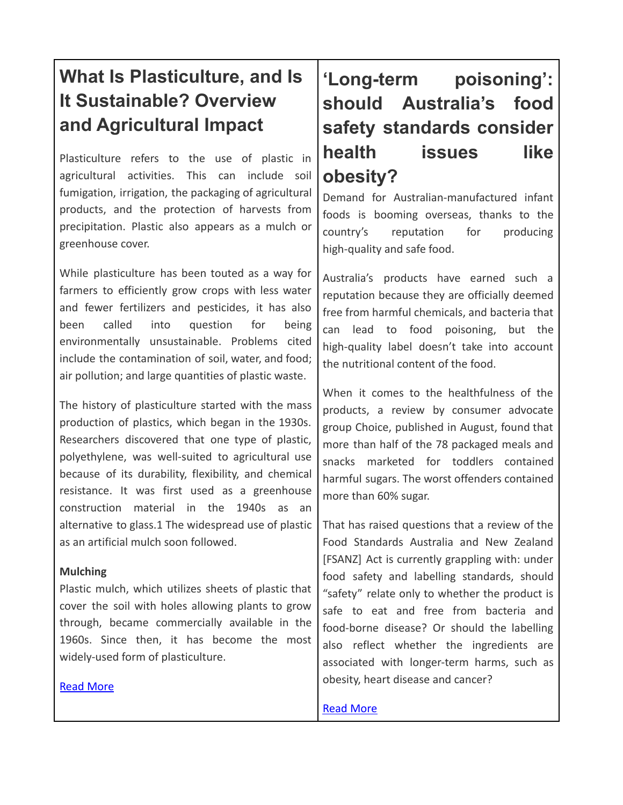## **What Is Plasticulture, and Is It Sustainable? Overview and Agricultural Impact**

Plasticulture refers to the use of plastic in agricultural activities. This can include soil fumigation, irrigation, the packaging of agricultural products, and the protection of harvests from precipitation. Plastic also appears as a mulch or greenhouse cover.

While plasticulture has been touted as a way for farmers to efficiently grow crops with less water and fewer fertilizers and pesticides, it has also been called into question for being environmentally unsustainable. Problems cited include the contamination of soil, water, and food; air pollution; and large quantities of plastic waste.

The history of plasticulture started with the mass production of plastics, which began in the 1930s. Researchers discovered that one type of plastic, polyethylene, was well-suited to agricultural use because of its durability, flexibility, and chemical resistance. It was first used as a greenhouse construction material in the 1940s as an alternative to glass.1 The widespread use of plastic as an artificial mulch soon followed.

#### **Mulching**

Plastic mulch, which utilizes sheets of plastic that cover the soil with holes allowing plants to grow through, became commercially available in the 1960s. Since then, it has become the most widely-used form of plasticulture.

#### [Read More](https://www.treehugger.com/what-is-plasticulture-5197365)

## **'Long-term poisoning': should Australia's food safety standards consider health issues like obesity?**

Demand for Australian-manufactured infant foods is booming overseas, thanks to the country's reputation for producing high-quality and safe food.

Australia's products have earned such a reputation because they are officially deemed free from harmful chemicals, and bacteria that can lead to food poisoning, but the high-quality label doesn't take into account the nutritional content of the food.

When it comes to the healthfulness of the products, a review by [consumer](https://www.theguardian.com/lifeandstyle/2021/aug/12/barely-more-than-a-pile-of-sugar-australian-consumer-group-finds-toddlers-snacks-lacking) advocate group Choice, [published](https://www.theguardian.com/lifeandstyle/2021/aug/12/barely-more-than-a-pile-of-sugar-australian-consumer-group-finds-toddlers-snacks-lacking) in August, found that more than half of the 78 packaged meals and snacks marketed for toddlers contained harmful sugars. The worst offenders contained more than 60% sugar.

That has raised questions that a review of the [Food](https://www.theguardian.com/food) Standards Australia and New Zealand [FSANZ] Act is currently grappling with: under food safety and labelling standards, should "safety" relate only to whether the product is safe to eat and free from bacteria and food-borne disease? Or should the labelling also reflect whether the ingredients are associated with longer-term harms, such as obesity, heart disease and cancer?

**[Read More](https://www.theguardian.com/australia-news/2021/nov/28/long-term-poisoning-should-australias-food-safety-standards-consider-health-issues-like-obesity)**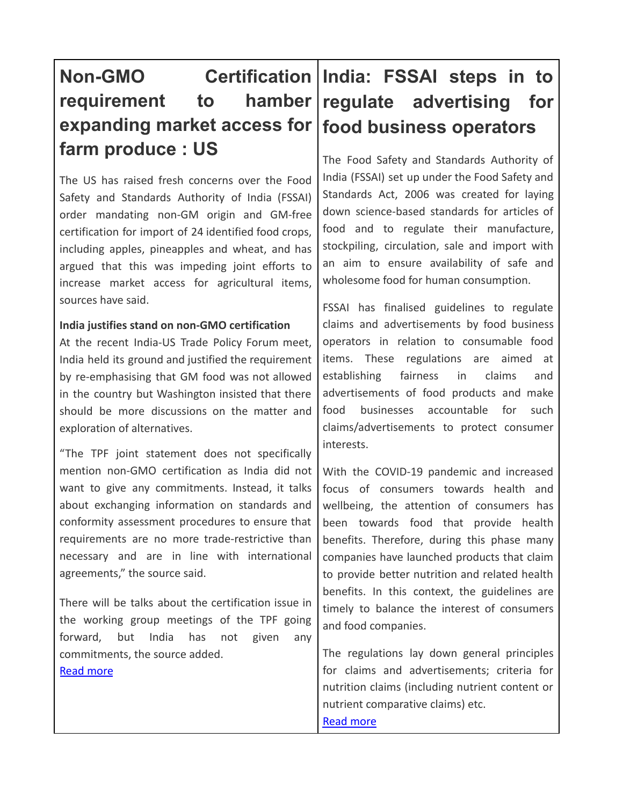## **Non-GMO Certification India: FSSAI steps in to requirement to hamber expanding market access for food business operators farm produce : US**

The US has raised fresh concerns over the Food Safety and Standards Authority of India (FSSAI) order mandating non-GM origin and GM-free certification for import of 24 identified food crops, including apples, pineapples and wheat, and has argued that this was impeding joint efforts to increase market access for agricultural items, sources have said.

#### **India justifies stand on non-GMO certification**

At the recent India-US Trade Policy Forum meet, India held its ground and justified the requirement by re-emphasising that GM food was not allowed in the country but Washington insisted that there should be more discussions on the matter and exploration of alternatives.

"The TPF joint statement does not specifically mention non-GMO certification as India did not want to give any commitments. Instead, it talks about exchanging information on standards and conformity assessment procedures to ensure that requirements are no more trade-restrictive than necessary and are in line with international agreements," the source said.

There will be talks about the certification issue in the working group meetings of the TPF going forward, but India has not given any commitments, the source added. [Read more](https://www.thehindubusinessline.com/news/national/us-says-move-would-hamper-efforts-to-increase-market-access-for-farm-produce/article37696776.ece)

# **regulate advertising for**

The Food Safety and Standards Authority of India (FSSAI) set up under the Food Safety and Standards Act, 2006 was created for laying down science-based standards for articles of food and to regulate their manufacture, stockpiling, circulation, sale and import with an aim to ensure availability of safe and wholesome food for human consumption.

FSSAI has finalised guidelines to regulate claims and advertisements by food business operators in relation to consumable food items. These regulations are aimed at establishing fairness in claims and advertisements of food products and make food businesses accountable for such claims/advertisements to protect consumer interests.

With the COVID-19 pandemic and increased focus of consumers towards health and wellbeing, the attention of consumers has been towards food that provide health benefits. Therefore, during this phase many companies have launched products that claim to provide better nutrition and related health benefits. In this context, the guidelines are timely to balance the interest of consumers and food companies.

The regulations lay down general principles for claims and advertisements; criteria for nutrition claims (including nutrient content or nutrient comparative claims) etc. [Read more](https://www.managingip.com/article/b1vj7ryh4zydwt/india-fssai-steps-in-to-regulate-advertising-for-food-business-operators)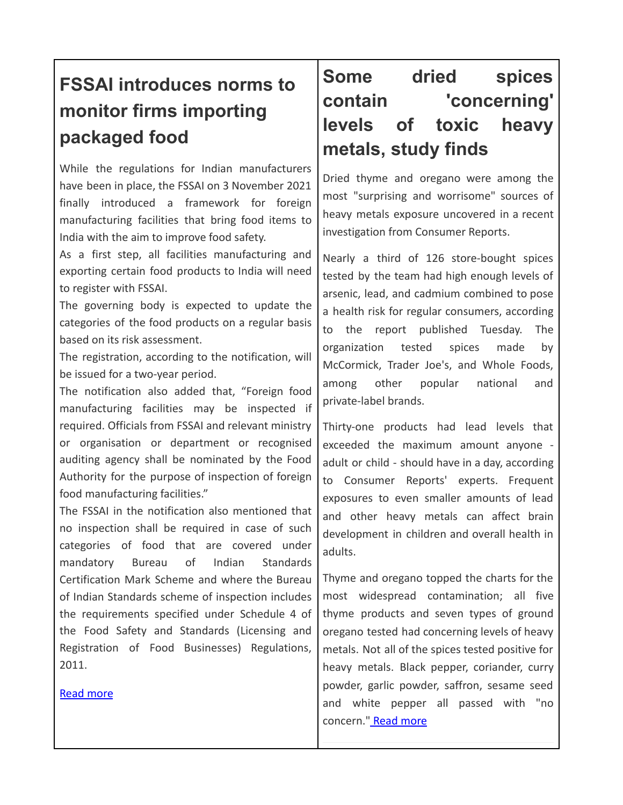## **FSSAI introduces norms to monitor firms importing packaged food**

While the regulations for Indian manufacturers have been in place, the FSSAI on 3 November 2021 finally introduced a framework for foreign manufacturing facilities that bring food items to India with the aim to improve food safety.

As a first step, all facilities manufacturing and exporting certain food products to India will need to register with FSSAI.

The governing body is expected to update the categories of the food products on a regular basis based on its risk assessment.

The registration, according to the notification, will be issued for a two-year period.

The notification also added that, "Foreign food manufacturing facilities may be inspected if required. Officials from FSSAI and relevant ministry or organisation or department or recognised auditing agency shall be nominated by the Food Authority for the purpose of inspection of foreign food manufacturing facilities."

The FSSAI in the notification also mentioned that no inspection shall be required in case of such categories of food that are covered under mandatory Bureau of Indian Standards Certification Mark Scheme and where the Bureau of Indian Standards scheme of inspection includes the requirements specified under Schedule 4 of the Food Safety and Standards (Licensing and Registration of Food Businesses) Regulations, 2011.

[Read more](https://www.printweek.in/news/fssai-introduces-norms-to-monitor-firms-importing-packaged-food-55418)

## **Some dried spices contain 'concerning' levels of toxic heavy metals, study finds**

Dried thyme and oregano were among the most "surprising and worrisome" sources of heavy metals exposure uncovered in a recent investigation from [Consumer Reports](https://www.consumerreports.org/food-safety/your-herbs-and-spices-might-contain-arsenic-cadmium-and-lead/).

Nearly a third of 126 store-bought spices tested by the team had high enough levels of arsenic, lead, and cadmium combined to pose a health risk for regular consumers, according to the report published Tuesday. The organization tested spices made by McCormick, Trader Joe's, and Whole Foods, among other popular national and private-label brands.

Thirty-one products had lead levels that exceeded the maximum amount anyone adult or child - should have in a day, according to Consumer Reports' experts. Frequent exposures to even smaller [amounts](https://www.insider.com/half-of-kids-under-age-6-have-lead-blood-study-2021-9) of lead and other heavy metals can affect brain development in children and overall health in adults.

Thyme and oregano topped the charts for the most widespread contamination; all five thyme products and seven types of ground oregano tested had concerning levels of heavy metals. Not all of the spices tested positive for heavy metals. Black pepper, coriander, curry powder, garlic powder, saffron, sesame seed and white pepper all passed with "no concern." [Read more](https://www.businessinsider.in/science/health/news/some-dried-spices-contain-concerning-levels-of-toxic-heavy-metals-study-finds/articleshow/87635325.cms)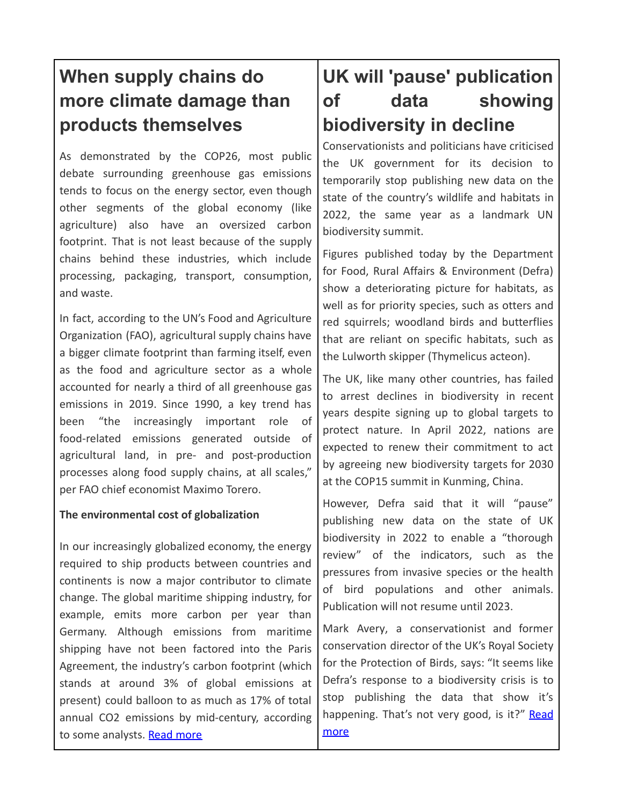## **When supply chains do more climate damage than products themselves**

As demonstrated by the COP26, most public debate surrounding greenhouse gas emissions tends to focus on the energy sector, even though other segments of the global economy (like agriculture) also have an oversized carbon footprint. That is not least because of the supply chains behind these industries, which include processing, packaging, transport, consumption, and waste.

In fact, according to the UN's Food and [Agriculture](https://news.un.org/en/story/2021/11/1105172) [Organization](https://news.un.org/en/story/2021/11/1105172) (FAO), agricultural supply chains have a bigger climate footprint than farming itself, even as the food and agriculture sector as a whole accounted for nearly a third of all greenhouse gas emissions in 2019. Since 1990, a key trend has been "the increasingly important role of food-related emissions generated outside of agricultural land, in pre- and post-production processes along food supply chains, at all scales," per FAO chief economist Maximo Torero.

#### **The environmental cost of globalization**

In our increasingly globalized economy, the energy required to ship products between countries and continents is now a major contributor to climate change. The global maritime shipping industry, for example, emits more [carbon](https://www.sustainability-times.com/expert/to-reach-net-zero-we-must-decarbonise-shipping/) per year than Germany. Although emissions from maritime shipping have not been factored into the Paris Agreement, the industry's carbon footprint (which stands at around 3% of global emissions at present) could balloon to as much as 17% of total annual CO2 emissions by mid-century, [according](https://www.spglobal.com/esg/insights/your-climate-change-goals-may-have-a-maritime-shipping-problem) [to some analysts.](https://www.spglobal.com/esg/insights/your-climate-change-goals-may-have-a-maritime-shipping-problem) [Read more](https://www.sustainability-times.com/environmental-protection/when-supply-chains-do-more-climate-damage-than-products-themselves/)

## **UK will 'pause' publication of data showing biodiversity in decline**

Conservationists and politicians have criticised the UK government for its decision to temporarily stop publishing new data on the state of the country's wildlife and habitats in 2022, the same year as a landmark UN biodiversity summit.

Figures published today by the Department for Food, Rural Affairs & Environment (Defra) show a deteriorating picture for habitats, as well as for priority species, such as otters and red squirrels; woodland birds and butterflies that are reliant on specific habitats, such as the Lulworth skipper (Thymelicus acteon).

The UK, like many other countries, has failed to arrest declines in biodiversity in recent years despite signing up to global targets to protect nature. In April 2022, nations are expected to renew their commitment to act by agreeing new biodiversity targets for 2030 at the COP15 summit in Kunming, China.

However, Defra said that it will "pause" publishing new data on the state of UK biodiversity in 2022 to enable a "thorough review" of the indicators, such as the pressures from invasive species or the health of bird populations and other animals. Publication will not resume until 2023.

Mark [Avery,](https://markavery.info/) a conservationist and former conservation director of the UK's Royal Society for the Protection of Birds, says: "It seems like Defra's response to a biodiversity crisis is to stop publishing the data that show it's happening. That's not very good, is it?" [Read](https://www.newscientist.com/article/2295285-uk-will-pause-publication-of-data-showing-biodiversity-in-decline/) [more](https://www.newscientist.com/article/2295285-uk-will-pause-publication-of-data-showing-biodiversity-in-decline/)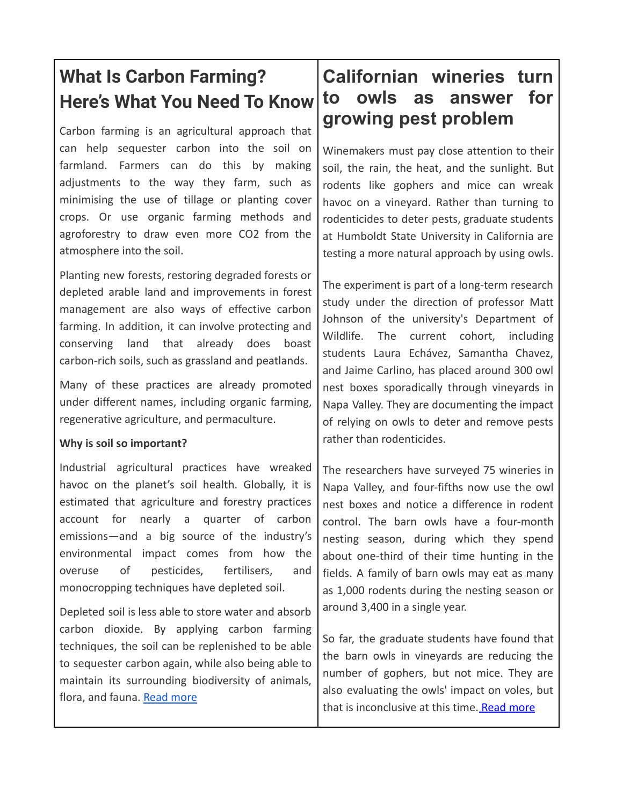## **What Is Carbon Farming? Here's What You Need To Know**

Carbon farming is an agricultural approach that can help sequester carbon into the soil on farmland. Farmers can do this by making adjustments to the way they farm, such as minimising the use of tillage or planting cover crops. Or use organic farming methods and agroforestry to draw even more CO2 from the atmosphere into the soil.

Planting new forests, restoring degraded forests or depleted arable land and improvements in forest management are also ways of effective carbon farming. In addition, it can involve protecting and conserving land that already does boast carbon-rich soils, such as grassland and peatlands.

Many of these practices are already promoted under different names, including organic farming, regenerative agriculture, and permaculture.

#### **Why is soil so important?**

Industrial agricultural practices have wreaked havoc on the planet's soil health. Globally, it is estimated that agriculture and forestry practices account for nearly a [quarter](https://www.ipcc.ch/site/assets/uploads/2018/02/ipcc_wg3_ar5_chapter11.pdf) of carbon emissions—and a big source of the industry's environmental impact comes from how the overuse of pesticides, fertilisers, and monocropping techniques have depleted soil.

Depleted soil is less able to store water and [absorb](https://www.greenqueen.com.hk/organic-farming-practices-could-boost-carbon-sequestration-double-digits-new-study-finds/) carbon dioxide. By applying carbon farming techniques, the soil can be replenished to be able to sequester carbon again, while also being able to maintain its surrounding biodiversity of animals, flora, and fauna. [Read more](https://www.greenqueen.com.hk/carbon-farming-explainer/)

## **Californian wineries turn to owls as answer for growing pest problem**

Winemakers must pay close attention to their soil, the rain, the heat, and the sunlight. But rodents like gophers and mice can wreak havoc on a vineyard. Rather than turning to rodenticides to deter pests, graduate students at Humboldt State University in California are testing a more natural approach by using owls.

The experiment is part of a long-term research study under the direction of professor Matt Johnson of the university's Department of Wildlife. The current cohort, including students Laura Echávez, Samantha Chavez, and Jaime Carlino, has placed around 300 owl nest boxes sporadically through vineyards in Napa Valley. They are documenting the impact of relying on owls to deter and remove pests rather than rodenticides.

The researchers have surveyed 75 wineries in Napa Valley, and four-fifths now use the owl nest boxes and notice a difference in rodent control. The barn owls have a four-month nesting season, during which they spend about one-third of their time hunting in the fields. A family of barn owls may eat as many as 1,000 rodents during the nesting season or around 3,400 in a single year.

So far, the graduate students have found that the barn owls in vineyards are reducing the number of gophers, but not mice. They are also evaluating the owls' impact on voles, but that is inconclusive at this time. [Read more](https://www.weforum.org/agenda/2021/10/california-vineyards-owls-pesticides-sustainability/)